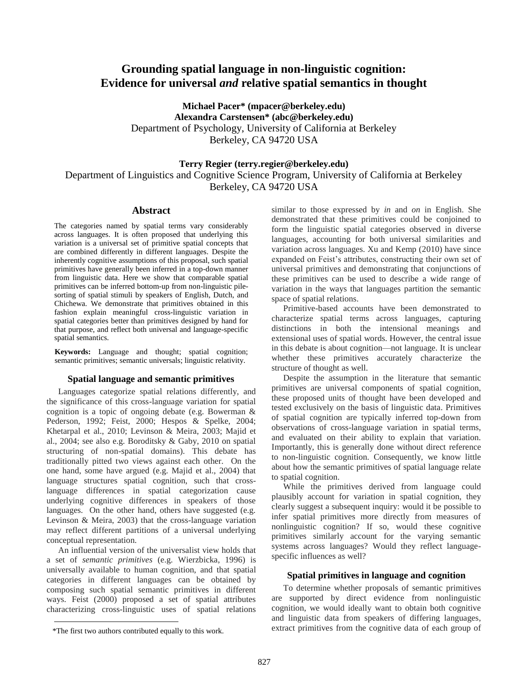# **Grounding spatial language in non-linguistic cognition: Evidence for universal** *and* **relative spatial semantics in thought**

**Michael Pacer\* (mpacer@berkeley.edu) Alexandra Carstensen\* (abc@berkeley.edu)** Department of Psychology, University of California at Berkeley Berkeley, CA 94720 USA

**Terry Regier (terry.regier@berkeley.edu)** Department of Linguistics and Cognitive Science Program, University of California at Berkeley Berkeley, CA 94720 USA

### **Abstract**

The categories named by spatial terms vary considerably across languages. It is often proposed that underlying this variation is a universal set of primitive spatial concepts that are combined differently in different languages. Despite the inherently cognitive assumptions of this proposal, such spatial primitives have generally been inferred in a top-down manner from linguistic data. Here we show that comparable spatial primitives can be inferred bottom-up from non-linguistic pilesorting of spatial stimuli by speakers of English, Dutch, and Chichewa. We demonstrate that primitives obtained in this fashion explain meaningful cross-linguistic variation in spatial categories better than primitives designed by hand for that purpose, and reflect both universal and language-specific spatial semantics.

**Keywords:** Language and thought; spatial cognition; semantic primitives; semantic universals; linguistic relativity.

#### **Spatial language and semantic primitives<sup>1</sup>**

Languages categorize spatial relations differently, and the significance of this cross-language variation for spatial cognition is a topic of ongoing debate (e.g. Bowerman & Pederson, 1992; Feist, 2000; Hespos & Spelke, 2004; Khetarpal et al., 2010; Levinson & Meira, 2003; Majid et al., 2004; see also e.g. Boroditsky & Gaby, 2010 on spatial structuring of non-spatial domains). This debate has traditionally pitted two views against each other. On the one hand, some have argued (e.g. Majid et al., 2004) that language structures spatial cognition, such that crosslanguage differences in spatial categorization cause underlying cognitive differences in speakers of those languages. On the other hand, others have suggested (e.g. Levinson & Meira, 2003) that the cross-language variation may reflect different partitions of a universal underlying conceptual representation.

An influential version of the universalist view holds that a set of *semantic primitives* (e.g. Wierzbicka, 1996) is universally available to human cognition, and that spatial categories in different languages can be obtained by composing such spatial semantic primitives in different ways. Feist (2000) proposed a set of spatial attributes characterizing cross-linguistic uses of spatial relations

similar to those expressed by *in* and *on* in English. She demonstrated that these primitives could be conjoined to form the linguistic spatial categories observed in diverse languages, accounting for both universal similarities and variation across languages. Xu and Kemp (2010) have since expanded on Feist's attributes, constructing their own set of universal primitives and demonstrating that conjunctions of these primitives can be used to describe a wide range of variation in the ways that languages partition the semantic space of spatial relations.

Primitive-based accounts have been demonstrated to characterize spatial terms across languages, capturing distinctions in both the intensional meanings and extensional uses of spatial words. However, the central issue in this debate is about cognition—not language. It is unclear whether these primitives accurately characterize the structure of thought as well.

Despite the assumption in the literature that semantic primitives are universal components of spatial cognition, these proposed units of thought have been developed and tested exclusively on the basis of linguistic data. Primitives of spatial cognition are typically inferred top-down from observations of cross-language variation in spatial terms, and evaluated on their ability to explain that variation. Importantly, this is generally done without direct reference to non-linguistic cognition. Consequently, we know little about how the semantic primitives of spatial language relate to spatial cognition.

While the primitives derived from language could plausibly account for variation in spatial cognition, they clearly suggest a subsequent inquiry: would it be possible to infer spatial primitives more directly from measures of nonlinguistic cognition? If so, would these cognitive primitives similarly account for the varying semantic systems across languages? Would they reflect languagespecific influences as well?

### **Spatial primitives in language and cognition**

To determine whether proposals of semantic primitives are supported by direct evidence from nonlinguistic cognition, we would ideally want to obtain both cognitive and linguistic data from speakers of differing languages, extract primitives from the cognitive data of each group of

 $\overline{a}$ 

 <sup>\*</sup>The first two authors contributed equally to this work.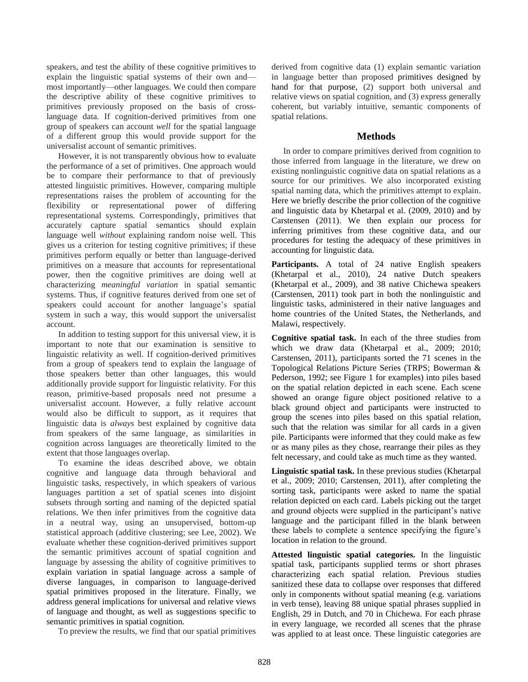speakers, and test the ability of these cognitive primitives to explain the linguistic spatial systems of their own and most importantly—other languages. We could then compare the descriptive ability of these cognitive primitives to primitives previously proposed on the basis of crosslanguage data. If cognition-derived primitives from one group of speakers can account *well* for the spatial language of a different group this would provide support for the universalist account of semantic primitives.

However, it is not transparently obvious how to evaluate the performance of a set of primitives. One approach would be to compare their performance to that of previously attested linguistic primitives. However, comparing multiple representations raises the problem of accounting for the flexibility or representational power of differing representational systems. Correspondingly, primitives that accurately capture spatial semantics should explain language well *without* explaining random noise well. This gives us a criterion for testing cognitive primitives; if these primitives perform equally or better than language-derived primitives on a measure that accounts for representational power, then the cognitive primitives are doing well at characterizing *meaningful variation* in spatial semantic systems. Thus, if cognitive features derived from one set of speakers could account for another language's spatial system in such a way, this would support the universalist account.

In addition to testing support for this universal view, it is important to note that our examination is sensitive to linguistic relativity as well. If cognition-derived primitives from a group of speakers tend to explain the language of those speakers better than other languages, this would additionally provide support for linguistic relativity. For this reason, primitive-based proposals need not presume a universalist account. However, a fully relative account would also be difficult to support, as it requires that linguistic data is *always* best explained by cognitive data from speakers of the same language, as similarities in cognition across languages are theoretically limited to the extent that those languages overlap.

To examine the ideas described above, we obtain cognitive and language data through behavioral and linguistic tasks, respectively, in which speakers of various languages partition a set of spatial scenes into disjoint subsets through sorting and naming of the depicted spatial relations. We then infer primitives from the cognitive data in a neutral way, using an unsupervised, bottom-up statistical approach (additive clustering; see Lee, 2002). We evaluate whether these cognition-derived primitives support the semantic primitives account of spatial cognition and language by assessing the ability of cognitive primitives to explain variation in spatial language across a sample of diverse languages, in comparison to language-derived spatial primitives proposed in the literature. Finally, we address general implications for universal and relative views of language and thought, as well as suggestions specific to semantic primitives in spatial cognition.

To preview the results, we find that our spatial primitives

derived from cognitive data (1) explain semantic variation in language better than proposed primitives designed by hand for that purpose, (2) support both universal and relative views on spatial cognition, and (3) express generally coherent, but variably intuitive, semantic components of spatial relations.

# **Methods**

In order to compare primitives derived from cognition to those inferred from language in the literature, we drew on existing nonlinguistic cognitive data on spatial relations as a source for our primitives. We also incorporated existing spatial naming data, which the primitives attempt to explain. Here we briefly describe the prior collection of the cognitive and linguistic data by Khetarpal et al. (2009, 2010) and by Carstensen (2011). We then explain our process for inferring primitives from these cognitive data, and our procedures for testing the adequacy of these primitives in accounting for linguistic data.

**Participants.** A total of 24 native English speakers (Khetarpal et al., 2010), 24 native Dutch speakers (Khetarpal et al., 2009), and 38 native Chichewa speakers (Carstensen, 2011) took part in both the nonlinguistic and linguistic tasks, administered in their native languages and home countries of the United States, the Netherlands, and Malawi, respectively.

**Cognitive spatial task.** In each of the three studies from which we draw data (Khetarpal et al., 2009; 2010; Carstensen, 2011), participants sorted the 71 scenes in the Topological Relations Picture Series (TRPS; Bowerman & Pederson, 1992; see Figure 1 for examples) into piles based on the spatial relation depicted in each scene. Each scene showed an orange figure object positioned relative to a black ground object and participants were instructed to group the scenes into piles based on this spatial relation, such that the relation was similar for all cards in a given pile. Participants were informed that they could make as few or as many piles as they chose, rearrange their piles as they felt necessary, and could take as much time as they wanted.

**Linguistic spatial task.** In these previous studies (Khetarpal et al., 2009; 2010; Carstensen, 2011), after completing the sorting task, participants were asked to name the spatial relation depicted on each card. Labels picking out the target and ground objects were supplied in the participant"s native language and the participant filled in the blank between these labels to complete a sentence specifying the figure's location in relation to the ground.

**Attested linguistic spatial categories.** In the linguistic spatial task, participants supplied terms or short phrases characterizing each spatial relation. Previous studies sanitized these data to collapse over responses that differed only in components without spatial meaning (e.g. variations in verb tense), leaving 88 unique spatial phrases supplied in English, 29 in Dutch, and 70 in Chichewa. For each phrase in every language, we recorded all scenes that the phrase was applied to at least once. These linguistic categories are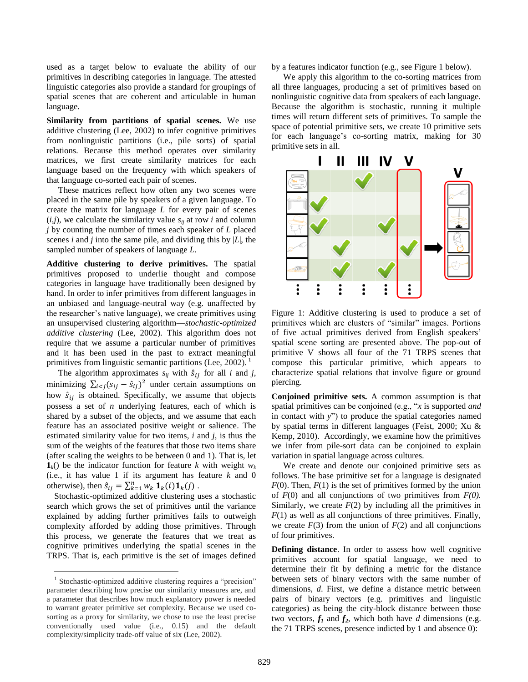used as a target below to evaluate the ability of our primitives in describing categories in language. The attested linguistic categories also provide a standard for groupings of spatial scenes that are coherent and articulable in human language.

**Similarity from partitions of spatial scenes.** We use additive clustering (Lee, 2002) to infer cognitive primitives from nonlinguistic partitions (i.e., pile sorts) of spatial relations. Because this method operates over similarity matrices, we first create similarity matrices for each language based on the frequency with which speakers of that language co-sorted each pair of scenes.

These matrices reflect how often any two scenes were placed in the same pile by speakers of a given language. To create the matrix for language *L* for every pair of scenes  $(i,j)$ , we calculate the similarity value  $s_{ii}$  at row *i* and column *j* by counting the number of times each speaker of *L* placed scenes *i* and *j* into the same pile, and dividing this by |*L*|, the sampled number of speakers of language *L*.

**Additive clustering to derive primitives.** The spatial primitives proposed to underlie thought and compose categories in language have traditionally been designed by hand. In order to infer primitives from different languages in an unbiased and language-neutral way (e.g. unaffected by the researcher"s native language), we create primitives using an unsupervised clustering algorithm—*stochastic-optimized additive clustering* (Lee, 2002)*.* This algorithm does not require that we assume a particular number of primitives and it has been used in the past to extract meaningful primitives from linguistic semantic partitions (Lee, 2002).<sup>1</sup>

The algorithm approximates  $s_{ij}$  with  $\hat{s}_{ij}$  for all *i* and *j*, minimizing  $\sum_{i < j} (s_{ij} - \hat{s}_{ij})^2$  under certain assumptions on how  $\hat{s}_{ij}$  is obtained. Specifically, we assume that objects possess a set of *n* underlying features, each of which is shared by a subset of the objects, and we assume that each feature has an associated positive weight or salience. The estimated similarity value for two items, *i* and *j*, is thus the sum of the weights of the features that those two items share (after scaling the weights to be between 0 and 1). That is, let  $\mathbf{1}_k$ () be the indicator function for feature *k* with weight  $w_k$ (i.e., it has value 1 if its argument has feature *k* and 0 otherwise), then  $\hat{s}_{ij} = \sum_{k=1}^{n} w_k \mathbf{1}_k(i) \mathbf{1}_k(j)$ .

Stochastic-optimized additive clustering uses a stochastic search which grows the set of primitives until the variance explained by adding further primitives fails to outweigh complexity afforded by adding those primitives. Through this process, we generate the features that we treat as cognitive primitives underlying the spatial scenes in the TRPS. That is, each primitive is the set of images defined

 $\overline{a}$ 

by a features indicator function (e.g., see Figure 1 below).

We apply this algorithm to the co-sorting matrices from all three languages, producing a set of primitives based on nonlinguistic cognitive data from speakers of each language. Because the algorithm is stochastic, running it multiple times will return different sets of primitives. To sample the space of potential primitive sets, we create 10 primitive sets for each language's co-sorting matrix, making for 30 primitive sets in all.



Figure 1: Additive clustering is used to produce a set of primitives which are clusters of "similar" images. Portions of five actual primitives derived from English speakers" spatial scene sorting are presented above. The pop-out of primitive V shows all four of the 71 TRPS scenes that compose this particular primitive, which appears to characterize spatial relations that involve figure or ground piercing.

**Conjoined primitive sets.** A common assumption is that spatial primitives can be conjoined (e.g., "*x* is supported *and* in contact with *y*") to produce the spatial categories named by spatial terms in different languages (Feist, 2000; Xu & Kemp, 2010). Accordingly, we examine how the primitives we infer from pile-sort data can be conjoined to explain variation in spatial language across cultures.

We create and denote our conjoined primitive sets as follows. The base primitive set for a language is designated  $F(0)$ . Then,  $F(1)$  is the set of primitives formed by the union of *F*(0) and all conjunctions of two primitives from *F(0).* Similarly, we create  $F(2)$  by including all the primitives in *F*(1) as well as all conjunctions of three primitives. Finally, we create  $F(3)$  from the union of  $F(2)$  and all conjunctions of four primitives.

**Defining distance**. In order to assess how well cognitive primitives account for spatial language, we need to determine their fit by defining a metric for the distance between sets of binary vectors with the same number of dimensions, *d*. First, we define a distance metric between pairs of binary vectors (e.g. primitives and linguistic categories) as being the city-block distance between those two vectors,  $f_1$  and  $f_2$ , which both have *d* dimensions (e.g. the 71 TRPS scenes, presence indicted by 1 and absence 0):

<sup>&</sup>lt;sup>1</sup> Stochastic-optimized additive clustering requires a "precision" parameter describing how precise our similarity measures are, and a parameter that describes how much explanatory power is needed to warrant greater primitive set complexity. Because we used cosorting as a proxy for similarity, we chose to use the least precise conventionally used value (i.e., 0.15) and the default complexity/simplicity trade-off value of six (Lee, 2002).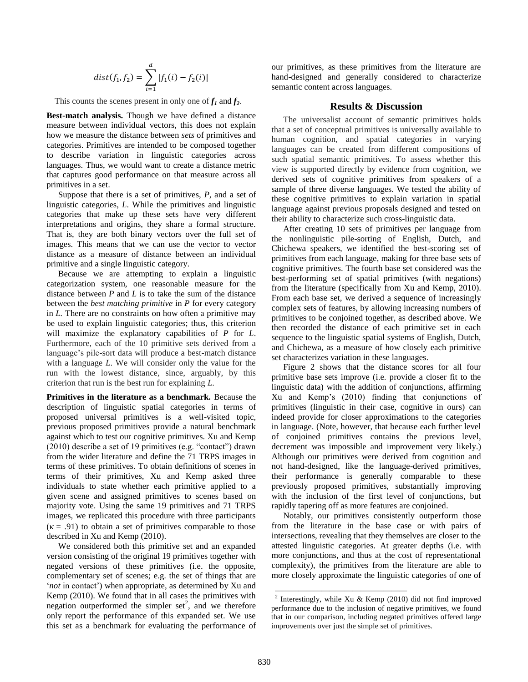$$
dist(f_1, f_2) = \sum_{i=1}^d |f_1(i) - f_2(i)|
$$

This counts the scenes present in only one of  $f_1$  and  $f_2$ .

**Best-match analysis.** Though we have defined a distance measure between individual vectors, this does not explain how we measure the distance between *sets* of primitives and categories. Primitives are intended to be composed together to describe variation in linguistic categories across languages. Thus, we would want to create a distance metric that captures good performance on that measure across all primitives in a set.

Suppose that there is a set of primitives, *P*, and a set of linguistic categories, *L*. While the primitives and linguistic categories that make up these sets have very different interpretations and origins, they share a formal structure. That is, they are both binary vectors over the full set of images. This means that we can use the vector to vector distance as a measure of distance between an individual primitive and a single linguistic category.

Because we are attempting to explain a linguistic categorization system, one reasonable measure for the distance between *P* and *L* is to take the sum of the distance between the *best matching primitive* in *P* for every category in *L.* There are no constraints on how often a primitive may be used to explain linguistic categories; thus, this criterion will maximize the explanatory capabilities of *P* for *L*. Furthermore, each of the 10 primitive sets derived from a language's pile-sort data will produce a best-match distance with a language *L*. We will consider only the value for the run with the lowest distance, since, arguably, by this criterion that run is the best run for explaining *L*.

**Primitives in the literature as a benchmark.** Because the description of linguistic spatial categories in terms of proposed universal primitives is a well-visited topic, previous proposed primitives provide a natural benchmark against which to test our cognitive primitives. Xu and Kemp (2010) describe a set of 19 primitives (e.g. "contact") drawn from the wider literature and define the 71 TRPS images in terms of these primitives. To obtain definitions of scenes in terms of their primitives, Xu and Kemp asked three individuals to state whether each primitive applied to a given scene and assigned primitives to scenes based on majority vote. Using the same 19 primitives and 71 TRPS images, we replicated this procedure with three participants  $(\kappa = .91)$  to obtain a set of primitives comparable to those described in Xu and Kemp (2010).

We considered both this primitive set and an expanded version consisting of the original 19 primitives together with negated versions of these primitives (i.e. the opposite, complementary set of scenes; e.g. the set of things that are '*not* in contact') when appropriate, as determined by Xu and Kemp (2010). We found that in all cases the primitives with negation outperformed the simpler set<sup>2</sup>, and we therefore only report the performance of this expanded set. We use this set as a benchmark for evaluating the performance of

our primitives, as these primitives from the literature are hand-designed and generally considered to characterize semantic content across languages.

## **Results & Discussion**

The universalist account of semantic primitives holds that a set of conceptual primitives is universally available to human cognition, and spatial categories in varying languages can be created from different compositions of such spatial semantic primitives. To assess whether this view is supported directly by evidence from cognition, we derived sets of cognitive primitives from speakers of a sample of three diverse languages. We tested the ability of these cognitive primitives to explain variation in spatial language against previous proposals designed and tested on their ability to characterize such cross-linguistic data.

After creating 10 sets of primitives per language from the nonlinguistic pile-sorting of English, Dutch, and Chichewa speakers, we identified the best-scoring set of primitives from each language, making for three base sets of cognitive primitives. The fourth base set considered was the best-performing set of spatial primitives (with negations) from the literature (specifically from Xu and Kemp, 2010). From each base set, we derived a sequence of increasingly complex sets of features, by allowing increasing numbers of primitives to be conjoined together, as described above. We then recorded the distance of each primitive set in each sequence to the linguistic spatial systems of English, Dutch, and Chichewa, as a measure of how closely each primitive set characterizes variation in these languages.

Figure 2 shows that the distance scores for all four primitive base sets improve (i.e. provide a closer fit to the linguistic data) with the addition of conjunctions, affirming Xu and Kemp"s (2010) finding that conjunctions of primitives (linguistic in their case, cognitive in ours) can indeed provide for closer approximations to the categories in language. (Note, however, that because each further level of conjoined primitives contains the previous level, decrement was impossible and improvement very likely.) Although our primitives were derived from cognition and not hand-designed, like the language-derived primitives, their performance is generally comparable to these previously proposed primitives, substantially improving with the inclusion of the first level of conjunctions, but rapidly tapering off as more features are conjoined.

Notably, our primitives consistently outperform those from the literature in the base case or with pairs of intersections, revealing that they themselves are closer to the attested linguistic categories. At greater depths (i.e. with more conjunctions, and thus at the cost of representational complexity), the primitives from the literature are able to more closely approximate the linguistic categories of one of

 $\overline{\phantom{a}}$  , and the contract of the contract of the contract of the contract of the contract of the contract of the contract of the contract of the contract of the contract of the contract of the contract of the contrac

<sup>&</sup>lt;sup>2</sup> Interestingly, while Xu & Kemp (2010) did not find improved performance due to the inclusion of negative primitives, we found that in our comparison, including negated primitives offered large improvements over just the simple set of primitives.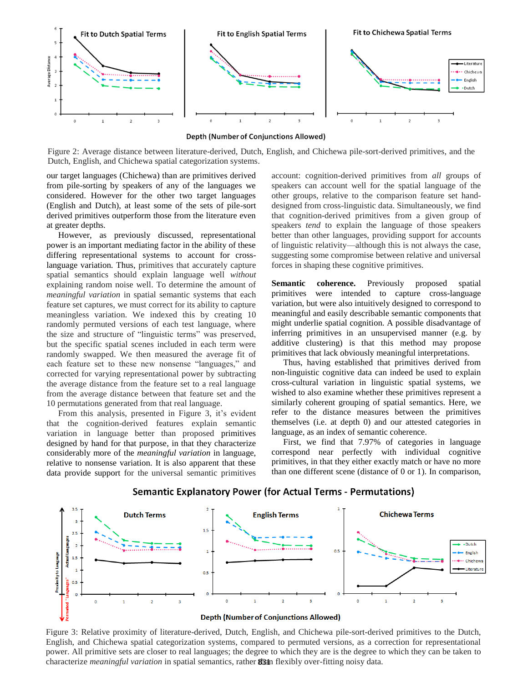

Depth (Number of Conjunctions Allowed)

Figure 2: Average distance between literature-derived, Dutch, English, and Chichewa pile-sort-derived primitives, and the Dutch, English, and Chichewa spatial categorization systems.

our target languages (Chichewa) than are primitives derived from pile-sorting by speakers of any of the languages we considered. However for the other two target languages (English and Dutch), at least some of the sets of pile-sort derived primitives outperform those from the literature even at greater depths.

However, as previously discussed, representational power is an important mediating factor in the ability of these differing representational systems to account for crosslanguage variation. Thus, primitives that accurately capture spatial semantics should explain language well *without* explaining random noise well. To determine the amount of *meaningful variation* in spatial semantic systems that each feature set captures, we must correct for its ability to capture meaningless variation. We indexed this by creating 10 randomly permuted versions of each test language, where the size and structure of "linguistic terms" was preserved, but the specific spatial scenes included in each term were randomly swapped. We then measured the average fit of each feature set to these new nonsense "languages," and corrected for varying representational power by subtracting the average distance from the feature set to a real language from the average distance between that feature set and the 10 permutations generated from that real language.

From this analysis, presented in Figure 3, it's evident that the cognition-derived features explain semantic variation in language better than proposed primitives designed by hand for that purpose, in that they characterize considerably more of the *meaningful variation* in language, relative to nonsense variation. It is also apparent that these data provide support for the universal semantic primitives

account: cognition-derived primitives from *all* groups of speakers can account well for the spatial language of the other groups, relative to the comparison feature set handdesigned from cross-linguistic data. Simultaneously, we find that cognition-derived primitives from a given group of speakers *tend* to explain the language of those speakers better than other languages, providing support for accounts of linguistic relativity—although this is not always the case, suggesting some compromise between relative and universal forces in shaping these cognitive primitives.

Semantic coherence. Previously proposed spatial primitives were intended to capture cross-language variation, but were also intuitively designed to correspond to meaningful and easily describable semantic components that might underlie spatial cognition. A possible disadvantage of inferring primitives in an unsupervised manner (e.g. by additive clustering) is that this method may propose primitives that lack obviously meaningful interpretations.

Thus, having established that primitives derived from non-linguistic cognitive data can indeed be used to explain cross-cultural variation in linguistic spatial systems, we wished to also examine whether these primitives represent a similarly coherent grouping of spatial semantics. Here, we refer to the distance measures between the primitives themselves (i.e. at depth 0) and our attested categories in language, as an index of semantic coherence.

First, we find that 7.97% of categories in language correspond near perfectly with individual cognitive primitives, in that they either exactly match or have no more than one different scene (distance of 0 or 1). In comparison,



## Semantic Explanatory Power (for Actual Terms - Permutations)

Figure 3: Relative proximity of literature-derived, Dutch, English, and Chichewa pile-sort-derived primitives to the Dutch, English, and Chichewa spatial categorization systems, compared to permuted versions, as a correction for representational power. All primitive sets are closer to real languages; the degree to which they are is the degree to which they can be taken to characterize *meaningful variation* in spatial semantics, rather **83th** flexibly over-fitting noisy data.